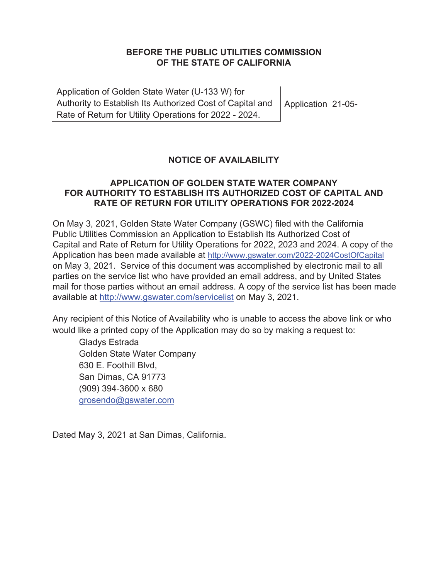## **BEFORE THE PUBLIC UTILITIES COMMISSION OF THE STATE OF CALIFORNIA**

Application of Golden State Water (U-133 W) for Authority to Establish Its Authorized Cost of Capital and Rate of Return for Utility Operations for 2022 - 2024. Application 21-05-

## **NOTICE OF AVAILABILITY**

## **APPLICATION OF GOLDEN STATE WATER COMPANY FOR AUTHORITY TO ESTABLISH ITS AUTHORIZED COST OF CAPITAL AND RATE OF RETURN FOR UTILITY OPERATIONS FOR 2022-2024**

On May 3, 2021, Golden State Water Company (GSWC) filed with the California Public Utilities Commission an Application to Establish Its Authorized Cost of Capital and Rate of Return for Utility Operations for 2022, 2023 and 2024. A copy of the Application has been made available at http://www.gswater.com/2022-2024CostOfCapital on May 3, 2021. Service of this document was accomplished by electronic mail to all parties on the service list who have provided an email address, and by United States mail for those parties without an email address. A copy of the service list has been made available at http://www.gswater.com/servicelist on May 3, 2021.

Any recipient of this Notice of Availability who is unable to access the above link or who would like a printed copy of the Application may do so by making a request to:

Gladys Estrada Golden State Water Company 630 E. Foothill Blvd, San Dimas, CA 91773 (909) 394-3600 x 680 grosendo@gswater.com

Dated May 3, 2021 at San Dimas, California.